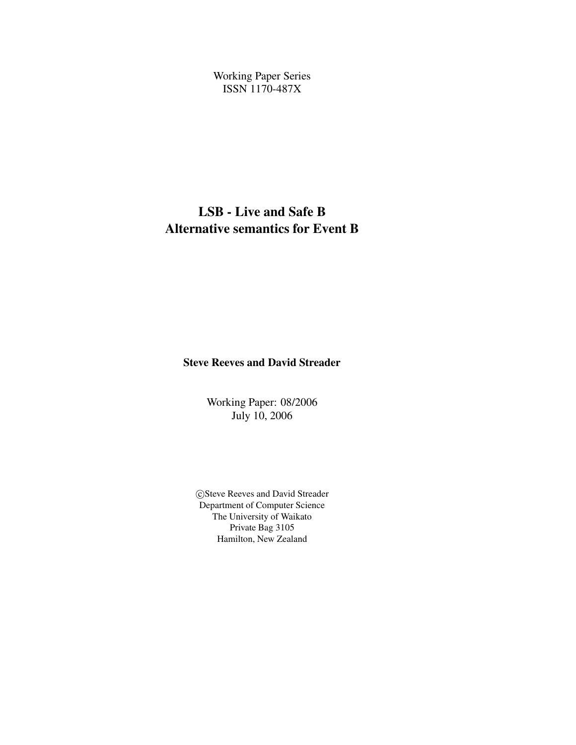Working Paper Series ISSN 1170-487X

## **LSB - Live and Safe B Alternative semantics for Event B**

**Steve Reeves and David Streader**

Working Paper: 08/2006 July 10, 2006

CSteve Reeves and David Streader Department of Computer Science The University of Waikato Private Bag 3105 Hamilton, New Zealand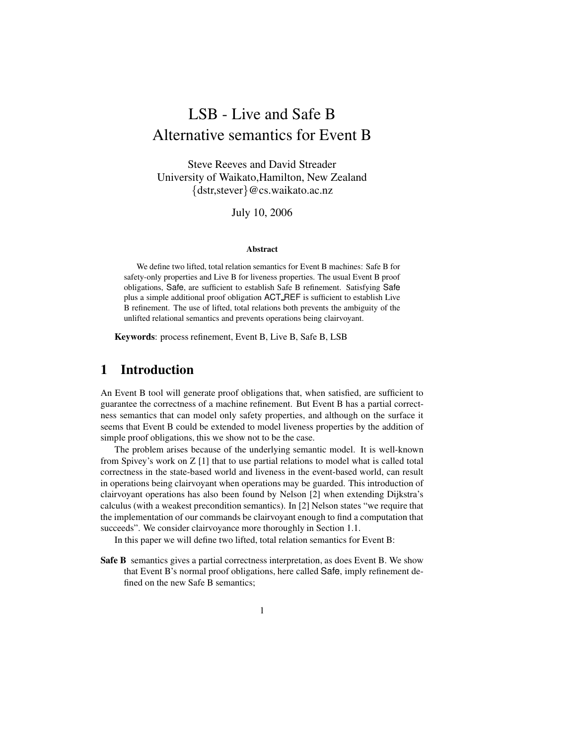# LSB - Live and Safe B Alternative semantics for Event B

Steve Reeves and David Streader University of Waikato,Hamilton, New Zealand {dstr,stever}@cs.waikato.ac.nz

July 10, 2006

#### **Abstract**

We define two lifted, total relation semantics for Event B machines: Safe B for safety-only properties and Live B for liveness properties. The usual Event B proof obligations, Safe, are sufficient to establish Safe B refinement. Satisfying Safe plus a simple additional proof obligation ACT REF is sufficient to establish Live B refinement. The use of lifted, total relations both prevents the ambiguity of the unlifted relational semantics and prevents operations being clairvoyant.

**Keywords**: process refinement, Event B, Live B, Safe B, LSB

## **1 Introduction**

An Event B tool will generate proof obligations that, when satisfied, are sufficient to guarantee the correctness of a machine refinement. But Event B has a partial correctness semantics that can model only safety properties, and although on the surface it seems that Event B could be extended to model liveness properties by the addition of simple proof obligations, this we show not to be the case.

The problem arises because of the underlying semantic model. It is well-known from Spivey's work on Z [1] that to use partial relations to model what is called total correctness in the state-based world and liveness in the event-based world, can result in operations being clairvoyant when operations may be guarded. This introduction of clairvoyant operations has also been found by Nelson [2] when extending Dijkstra's calculus (with a weakest precondition semantics). In [2] Nelson states "we require that the implementation of our commands be clairvoyant enough to find a computation that succeeds". We consider clairvoyance more thoroughly in Section 1.1.

In this paper we will define two lifted, total relation semantics for Event B:

**Safe B** semantics gives a partial correctness interpretation, as does Event B. We show that Event B's normal proof obligations, here called Safe, imply refinement defined on the new Safe B semantics;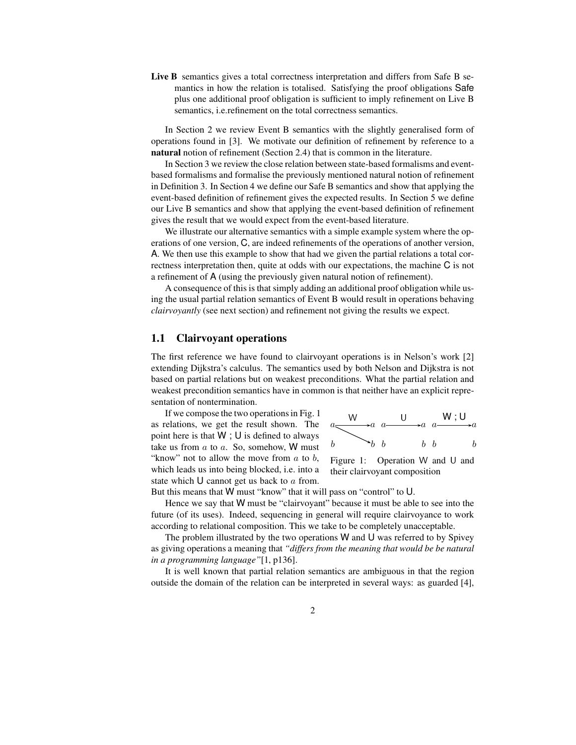**Live B** semantics gives a total correctness interpretation and differs from Safe B semantics in how the relation is totalised. Satisfying the proof obligations Safe plus one additional proof obligation is sufficient to imply refinement on Live B semantics, i.e.refinement on the total correctness semantics.

In Section 2 we review Event B semantics with the slightly generalised form of operations found in [3]. We motivate our definition of refinement by reference to a **natural** notion of refinement (Section 2.4) that is common in the literature.

In Section 3 we review the close relation between state-based formalisms and eventbased formalisms and formalise the previously mentioned natural notion of refinement in Definition 3. In Section 4 we define our Safe B semantics and show that applying the event-based definition of refinement gives the expected results. In Section 5 we define our Live B semantics and show that applying the event-based definition of refinement gives the result that we would expect from the event-based literature.

We illustrate our alternative semantics with a simple example system where the operations of one version, C, are indeed refinements of the operations of another version, A. We then use this example to show that had we given the partial relations a total correctness interpretation then, quite at odds with our expectations, the machine C is not a refinement of A (using the previously given natural notion of refinement).

A consequence of this is that simply adding an additional proof obligation while using the usual partial relation semantics of Event B would result in operations behaving *clairvoyantly* (see next section) and refinement not giving the results we expect.

#### **1.1 Clairvoyant operations**

The first reference we have found to clairvoyant operations is in Nelson's work [2] extending Dijkstra's calculus. The semantics used by both Nelson and Dijkstra is not based on partial relations but on weakest preconditions. What the partial relation and weakest precondition semantics have in common is that neither have an explicit representation of nontermination.

If we compose the two operations in Fig. 1 as relations, we get the result shown. The point here is that  $W$ ;  $U$  is defined to always take us from  $a$  to  $a$ . So, somehow, W must "know" not to allow the move from  $a$  to  $b$ , which leads us into being blocked, i.e. into a state which  **cannot get us back to**  $a$  **from.** 



Figure 1: Operation W and U and their clairvoyant composition

But this means that W must "know" that it will pass on "control" to U.

Hence we say that W must be "clairvoyant" because it must be able to see into the future (of its uses). Indeed, sequencing in general will require clairvoyance to work according to relational composition. This we take to be completely unacceptable.

The problem illustrated by the two operations  $W$  and  $U$  was referred to by Spivey as giving operations a meaning that *"differs from the meaning that would be be natural in a programming language"*[1, p136].

It is well known that partial relation semantics are ambiguous in that the region outside the domain of the relation can be interpreted in several ways: as guarded [4],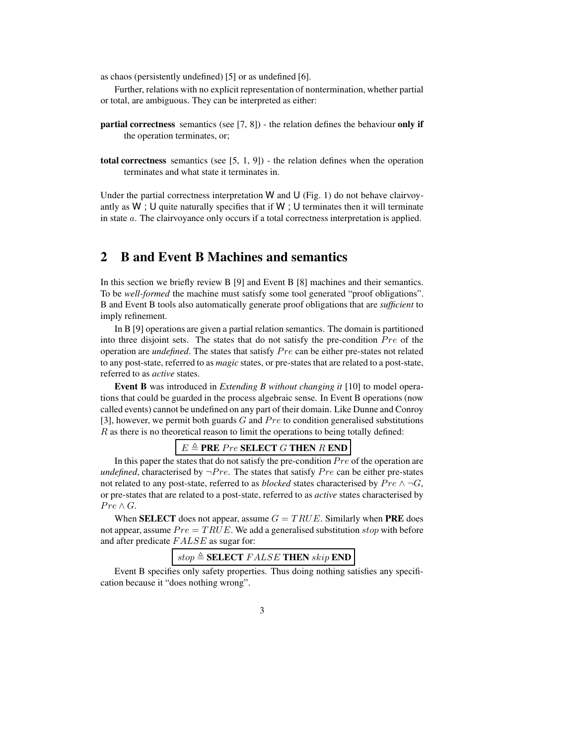as chaos (persistently undefined) [5] or as undefined [6].

Further, relations with no explicit representation of nontermination, whether partial or total, are ambiguous. They can be interpreted as either:

- **partial correctness** semantics (see [7, 8]) the relation defines the behaviour **only if** the operation terminates, or;
- **total correctness** semantics (see [5, 1, 9]) the relation defines when the operation terminates and what state it terminates in.

Under the partial correctness interpretation  $W$  and  $U$  (Fig. 1) do not behave clairvoyantly as  $W$ ; U quite naturally specifies that if  $W$ ; U terminates then it will terminate in state a. The clairvoyance only occurs if a total correctness interpretation is applied.

### **2 B and Event B Machines and semantics**

In this section we briefly review B [9] and Event B [8] machines and their semantics. To be *well-formed* the machine must satisfy some tool generated "proof obligations". B and Event B tools also automatically generate proof obligations that are *sufficient* to imply refinement.

In B [9] operations are given a partial relation semantics. The domain is partitioned into three disjoint sets. The states that do not satisfy the pre-condition Pre of the operation are *undefined*. The states that satisfy Pre can be either pre-states not related to any post-state, referred to as *magic* states, or pre-states that are related to a post-state, referred to as *active* states.

**Event B** was introduced in *Extending B without changing it* [10] to model operations that could be guarded in the process algebraic sense. In Event B operations (now called events) cannot be undefined on any part of their domain. Like Dunne and Conroy [3], however, we permit both guards  $G$  and  $Pre$  to condition generalised substitutions R as there is no theoretical reason to limit the operations to being totally defined:

#### $E \triangleq$  **PRE** Pre **SELECT** G **THEN** R **END**

In this paper the states that do not satisfy the pre-condition  $Pre$  of the operation are *undefined*, characterised by  $\neg Pre$ . The states that satisfy Pre can be either pre-states not related to any post-state, referred to as *blocked* states characterised by  $Pre \land \neg G$ , or pre-states that are related to a post-state, referred to as *active* states characterised by  $Pre \wedge G$ .

When **SELECT** does not appear, assume  $G = TRUE$ . Similarly when **PRE** does not appear, assume  $Pre = TRUE$ . We add a generalised substitution stop with before and after predicate FALSE as sugar for:

## $stop \triangleq \textbf{SELECT} \; FALSE \; \textbf{THEN} \; skip \; \textbf{END}$

Event B specifies only safety properties. Thus doing nothing satisfies any specification because it "does nothing wrong".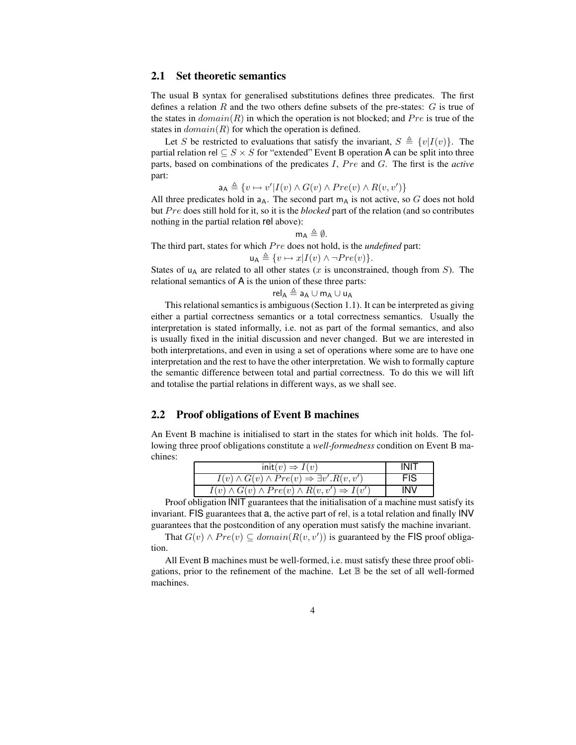#### **2.1 Set theoretic semantics**

The usual B syntax for generalised substitutions defines three predicates. The first defines a relation R and the two others define subsets of the pre-states:  $G$  is true of the states in  $domain(R)$  in which the operation is not blocked; and  $Pre$  is true of the states in  $domain(R)$  for which the operation is defined.

Let S be restricted to evaluations that satisfy the invariant,  $S \triangleq \{v|I(v)\}\$ . The partial relation rel  $\subseteq S \times S$  for "extended" Event B operation A can be split into three parts, based on combinations of the predicates I, Pre and G. The first is the *active* part:

 $a_A \triangleq \{v \mapsto v'|I(v) \wedge G(v) \wedge Pre(v) \wedge R(v, v')\}$ 

All three predicates hold in  $a_A$ . The second part  $m_A$  is not active, so G does not hold but Pre does still hold for it, so it is the *blocked* part of the relation (and so contributes nothing in the partial relation rel above):

 $m_A \triangleq \emptyset$ .

The third part, states for which Pre does not hold, is the *undefined* part:

 $u_A \triangleq \{v \mapsto x | I(v) \wedge \neg Pre(v) \}.$ 

States of  $u_A$  are related to all other states (x is unconstrained, though from S). The relational semantics of A is the union of these three parts:

 $rel_A \triangleq a_A \cup m_A \cup u_A$ 

This relational semantics is ambiguous(Section 1.1). It can be interpreted as giving either a partial correctness semantics or a total correctness semantics. Usually the interpretation is stated informally, i.e. not as part of the formal semantics, and also is usually fixed in the initial discussion and never changed. But we are interested in both interpretations, and even in using a set of operations where some are to have one interpretation and the rest to have the other interpretation. We wish to formally capture the semantic difference between total and partial correctness. To do this we will lift and totalise the partial relations in different ways, as we shall see.

#### **2.2 Proof obligations of Event B machines**

An Event B machine is initialised to start in the states for which init holds. The following three proof obligations constitute a *well-formedness* condition on Event B machines:

| $init(v) \Rightarrow I(v)$                                         | <b>INIT</b> |
|--------------------------------------------------------------------|-------------|
| $I(v) \wedge G(v) \wedge Pre(v) \Rightarrow \exists v'. R(v, v')$  | <b>FIS</b>  |
| $I(v) \wedge G(v) \wedge Pre(v) \wedge R(v, v') \Rightarrow I(v')$ | INV         |

Proof obligation INIT guarantees that the initialisation of a machine must satisfy its invariant. FIS guarantees that a, the active part of rel, is a total relation and finally INV guarantees that the postcondition of any operation must satisfy the machine invariant.

That  $G(v) \wedge Pre(v) \subseteq domain(R(v, v'))$  is guaranteed by the FIS proof obligation.

All Event B machines must be well-formed, i.e. must satisfy these three proof obligations, prior to the refinement of the machine. Let  $\mathbb B$  be the set of all well-formed machines.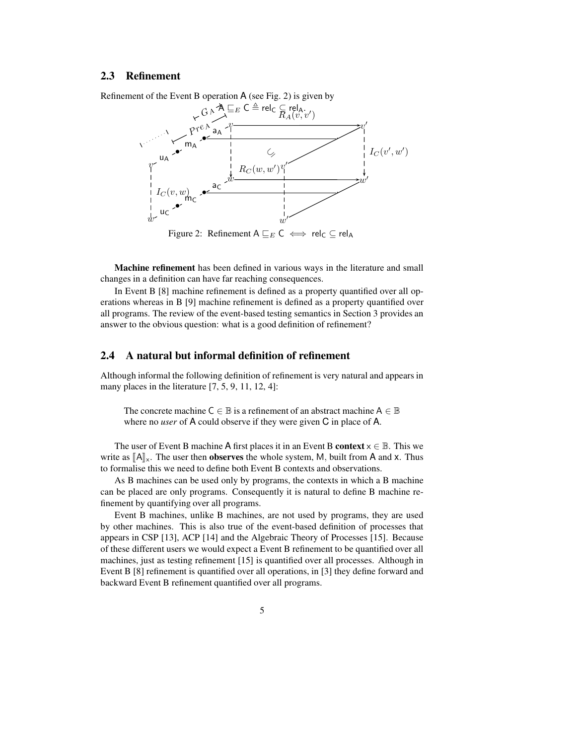#### **2.3 Refinement**

Refinement of the Event B operation A (see Fig. 2) is given by



Figure 2: Refinement A  $E_E C \iff rel_C \subseteq rel_A$ 

**Machine refinement** has been defined in various ways in the literature and small changes in a definition can have far reaching consequences.

In Event B [8] machine refinement is defined as a property quantified over all operations whereas in B [9] machine refinement is defined as a property quantified over all programs. The review of the event-based testing semantics in Section 3 provides an answer to the obvious question: what is a good definition of refinement?

#### **2.4 A natural but informal definition of refinement**

Although informal the following definition of refinement is very natural and appears in many places in the literature [7, 5, 9, 11, 12, 4]:

The concrete machine  $C \in \mathbb{B}$  is a refinement of an abstract machine  $A \in \mathbb{B}$ where no *user* of A could observe if they were given C in place of A.

The user of Event B machine A first places it in an Event B **context**  $x \in \mathbb{B}$ . This we write as  $\llbracket A \rrbracket_x$ . The user then **observes** the whole system, M, built from A and x. Thus to formalise this we need to define both Event B contexts and observations.

As B machines can be used only by programs, the contexts in which a B machine can be placed are only programs. Consequently it is natural to define B machine refinement by quantifying over all programs.

Event B machines, unlike B machines, are not used by programs, they are used by other machines. This is also true of the event-based definition of processes that appears in CSP [13], ACP [14] and the Algebraic Theory of Processes [15]. Because of these different users we would expect a Event B refinement to be quantified over all machines, just as testing refinement [15] is quantified over all processes. Although in Event B [8] refinement is quantified over all operations, in [3] they define forward and backward Event B refinement quantified over all programs.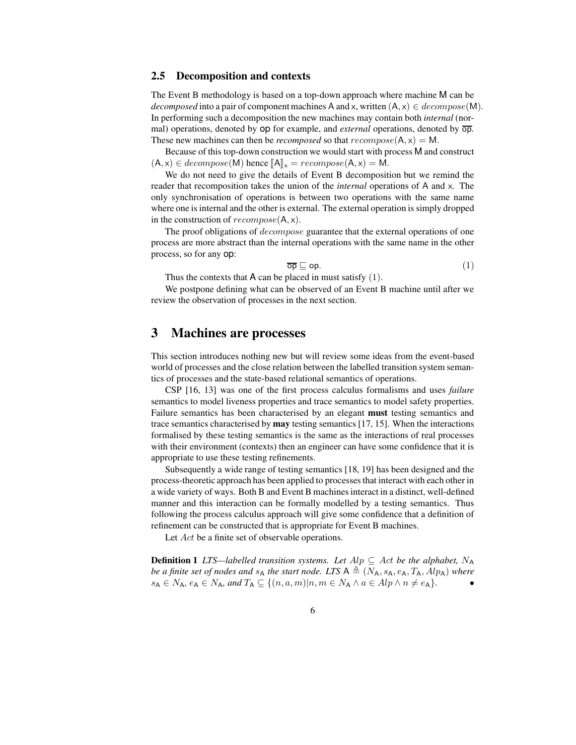#### **2.5 Decomposition and contexts**

The Event B methodology is based on a top-down approach where machine M can be *decomposed* into a pair of component machines A and x, written  $(A, x) \in decompose(M)$ . In performing such a decomposition the new machines may contain both *internal* (normal) operations, denoted by op for example, and *external* operations, denoted by  $\overline{op}$ . These new machines can then be *recomposed* so that  $recompose(A, x) = M$ .

Because of this top-down construction we would start with process M and construct  $(A, x) \in decompose(M)$  hence  $\llbracket A \rrbracket_x = recompose(A, x) = M$ .

We do not need to give the details of Event B decomposition but we remind the reader that recomposition takes the union of the *internal* operations of A and x. The only synchronisation of operations is between two operations with the same name where one is internal and the other is external. The external operation is simply dropped in the construction of  $recompose(A, x)$ .

The proof obligations of *decompose* guarantee that the external operations of one process are more abstract than the internal operations with the same name in the other process, so for any op:

$$
\overline{\mathsf{op}} \sqsubseteq \mathsf{op}.\tag{1}
$$

Thus the contexts that  $A$  can be placed in must satisfy  $(1)$ .

We postpone defining what can be observed of an Event B machine until after we review the observation of processes in the next section.

## **3 Machines are processes**

This section introduces nothing new but will review some ideas from the event-based world of processes and the close relation between the labelled transition system semantics of processes and the state-based relational semantics of operations.

CSP [16, 13] was one of the first process calculus formalisms and uses *failure* semantics to model liveness properties and trace semantics to model safety properties. Failure semantics has been characterised by an elegant **must** testing semantics and trace semantics characterised by **may** testing semantics [17, 15]. When the interactions formalised by these testing semantics is the same as the interactions of real processes with their environment (contexts) then an engineer can have some confidence that it is appropriate to use these testing refinements.

Subsequently a wide range of testing semantics [18, 19] has been designed and the process-theoretic approach has been applied to processesthat interact with each other in a wide variety of ways. Both B and Event B machinesinteract in a distinct, well-defined manner and this interaction can be formally modelled by a testing semantics. Thus following the process calculus approach will give some confidence that a definition of refinement can be constructed that is appropriate for Event B machines.

Let Act be a finite set of observable operations.

**Definition 1** *LTS—labelled transition systems. Let*  $Alp \subseteq Act$  *be the alphabet,*  $N_A$ *be a finite set of nodes and*  $s_A$  *the start node.* LTS  $A \triangleq (N_A, s_A, e_A, T_A, Alp_A)$  *where*  $s_A \in N_A$ ,  $e_A \in N_A$ , and  $T_A \subseteq \{(n, a, m) | n, m \in N_A \land a \in Alp \land n \neq e_A\}.$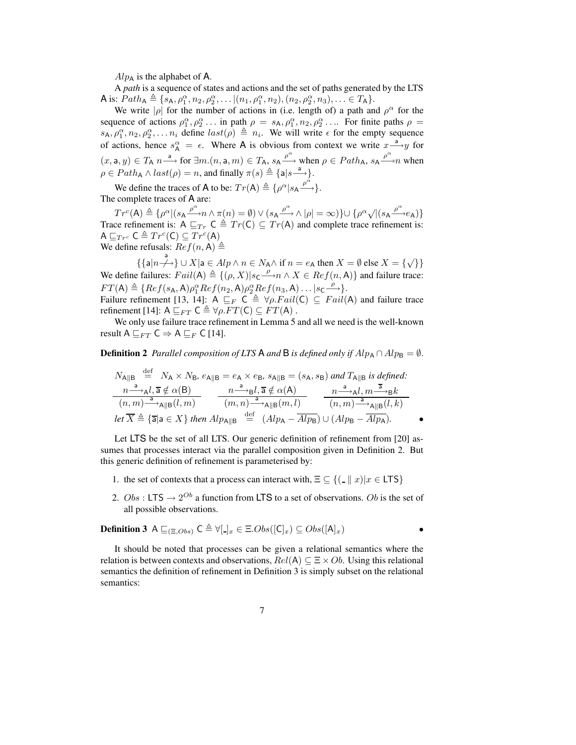$Alp_{\rm A}$  is the alphabet of A.

A *path* is a sequence of states and actions and the set of paths generated by the LTS A is:  $Path_{A} \triangleq \{s_{A}, \rho_{1}^{\alpha}, n_{2}, \rho_{2}^{\alpha}, \ldots | (n_{1}, \rho_{1}^{\alpha}, n_{2}), (n_{2}, \rho_{2}^{\alpha}, n_{3}), \ldots \in T_{A}\}.$ 

We write | $\rho$ | for the number of actions in (i.e. length of) a path and  $\rho^{\alpha}$  for the sequence of actions  $\rho_1^{\alpha}, \rho_2^{\alpha} \dots$  in path  $\rho = s_A, \rho_1^{\alpha}, n_2, \rho_2^{\alpha} \dots$  For finite paths  $\rho =$  $s_A, \rho_1^{\alpha}, n_2, \rho_2^{\alpha}, \ldots n_i$  define  $last(\rho) \triangleq n_i$ . We will write  $\epsilon$  for the empty sequence of actions, hence  $s_A^{\alpha} = \epsilon$ . Where A is obvious from context we write  $x \rightarrow{a} y$  for  $(x, \mathsf{a}, y) \in T_A \longrightarrow \text{ for } \exists m. (n, \mathsf{a}, m) \in T_A$ ,  $s_A \xrightarrow{\rho^{\alpha}} \text{when } \rho \in Path_A$ ,  $s_A \xrightarrow{\rho^{\alpha}} n$  when  $\rho \in Path_{\mathsf{A}} \wedge last(\rho) = n$ , and finally  $\pi(s) \triangleq \{a|s \stackrel{a}{\longrightarrow}\}.$ 

We define the traces of **A** to be:  $Tr(A) \triangleq {\rho^{\alpha} | s_A \frac{\rho^{\alpha}}{\rho}}.$ The complete traces of A are:

 $Tr^c({\bf A}) \triangleq \{ \rho^\alpha \vert (s_{\bf A} \xrightarrow{\rho^\alpha} n \wedge \pi(n) = \emptyset) \vee (s_{\bf A} \xrightarrow{\rho^\alpha} \wedge \vert \rho \vert = \infty) \} \cup \{ \rho^\alpha \sqrt{\vert (s_{\bf A} \xrightarrow{\rho^\alpha} e_{\bf A})} \}$ Trace refinement is:  $A \sqsubseteq_{Tr} C \triangleq Tr(C) \subseteq Tr(A)$  and complete trace refinement is: A  $\sqsubseteq_{Tr^c} \mathsf{C} \triangleq Tr^c(\mathsf{C}) \subseteq Tr^c(\mathsf{A})$ We define refusals:  $Ref(n, A) \triangleq$ 

 $\{\{\mathsf{a}|n\stackrel{\mathsf{a}}{\rightarrow}\}\cup X|\mathsf{a}\in\mathit{Alp}\land n\in N_\mathsf{A}\land \text{if }n=e_\mathsf{A} \text{ then }X=\emptyset\text{ else }X=\{\sqrt{\}}\}$ We define failures:  $Fall(A) \triangleq \{(\rho, X)|s_C \longrightarrow n \land X \in Ref(n, A)\}\$  and failure trace:  $FT(\mathsf{A}) \triangleq \{Ref(s_{\mathsf{A}}, \mathsf{A})\rho_1^{\alpha}Ref(n_2, \mathsf{A})\rho_2^{\alpha}Ref(n_3, \mathsf{A})\dots|s_{\mathsf{C}}\longrightarrow \}.$ Failure refinement [13, 14]: A  $\sqsubseteq_F \mathsf{C} \triangleq \forall \rho$ . Fail(C)  $\subseteq \mathsf{Tail}(A)$  and failure trace

refinement [14]:  $A \sqsubseteq_{FT} C \triangleq \forall \rho. FT(C) \subseteq FT(A)$ .

We only use failure trace refinement in Lemma 5 and all we need is the well-known result A  $\sqsubseteq_{FT}$  C  $\Rightarrow$  A  $\sqsubseteq_F$  C [14].

**Definition 2** *Parallel composition of LTS* **A** *and* **B** *is defined only if*  $Alp_A \cap Alp_B = \emptyset$ .

$$
N_{A||B} \stackrel{\text{def}}{=} N_A \times N_B, e_{A||B} = e_A \times e_B, s_{A||B} = (s_A, s_B) \text{ and } T_{A||B} \text{ is defined:}
$$
\n
$$
\frac{n \stackrel{a}{\longrightarrow} {}_{A}l, \overline{a} \notin \alpha(B)}{(n, m) \stackrel{a}{\longrightarrow} {}_{A||B}(l, m)} \frac{n \stackrel{a}{\longrightarrow} {}_{B}l, \overline{a} \notin \alpha(A)}{(m, n) \stackrel{a}{\longrightarrow} {}_{A||B}(m, l)} \frac{n \stackrel{a}{\longrightarrow} {}_{A}l, m \stackrel{\overline{a}}{\longrightarrow} {}_{B}k}{(n, m) \stackrel{a}{\longrightarrow} {}_{A||B}(l, k)}
$$
\n
$$
\text{let } \overline{X} \triangleq \{\overline{a}|a \in X\} \text{ then } Alp_{A||B} \stackrel{\text{def}}{=} (Alp_{A} - Alp_{B}) \cup (Alp_{B} - Alp_{A}).
$$

Let LTS be the set of all LTS. Our generic definition of refinement from [20] assumes that processes interact via the parallel composition given in Definition 2. But this generic definition of refinement is parameterised by:

- 1. the set of contexts that a process can interact with,  $\Xi \subseteq \{ (\Box \parallel x)|x \in \Box \Box \}$
- 2.  $Obs: LTS \rightarrow 2^{Ob}$  a function from LTS to a set of observations. Ob is the set of all possible observations.

**Definition 3** 
$$
A \sqsubseteq_{(\Xi, Obs)} C \triangleq \forall [\underline{\ }]_x \in \Xi. Obs([\mathsf{C}]_x) \subseteq Obs([\mathsf{A}]_x)
$$

It should be noted that processes can be given a relational semantics where the relation is between contexts and observations,  $Rel(A) \subseteq \Xi \times Ob$ . Using this relational semantics the definition of refinement in Definition 3 is simply subset on the relational semantics: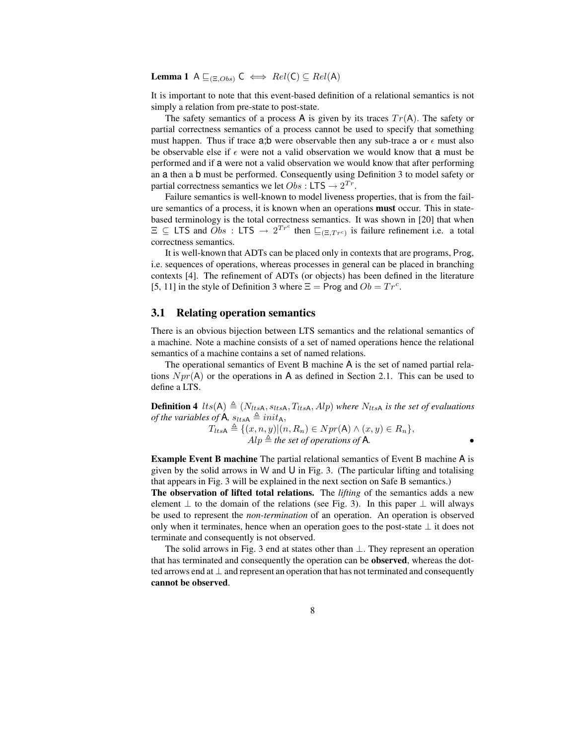**Lemma** 1 A  $\sqsubseteq_{(\Xi,Obs)} \mathsf{C} \iff Rel(\mathsf{C}) \subseteq Rel(\mathsf{A})$ 

It is important to note that this event-based definition of a relational semantics is not simply a relation from pre-state to post-state.

The safety semantics of a process A is given by its traces  $Tr(A)$ . The safety or partial correctness semantics of a process cannot be used to specify that something must happen. Thus if trace a;b were observable then any sub-trace a or  $\epsilon$  must also be observable else if  $\epsilon$  were not a valid observation we would know that a must be performed and if a were not a valid observation we would know that after performing an a then a b must be performed. Consequently using Definition 3 to model safety or partial correctness semantics we let  $Obs : LTS \rightarrow 2^{Tr}$ .

Failure semantics is well-known to model liveness properties, that is from the failure semantics of a process, it is known when an operations **must** occur. This in statebased terminology is the total correctness semantics. It was shown in [20] that when  $\Xi \subseteq \textsf{LTS}$  and  $\overrightarrow{Obs}$ : LTS  $\rightarrow 2^{Tr^c}$  then  $\Xi_{(\Xi,Tr^c)}$  is failure refinement i.e. a total correctness semantics.

It is well-known that ADTs can be placed only in contexts that are programs, Prog, i.e. sequences of operations, whereas processes in general can be placed in branching contexts [4]. The refinement of ADTs (or objects) has been defined in the literature [5, 11] in the style of Definition 3 where  $\Xi$  = Prog and  $Ob = Tr^c$ .

#### **3.1 Relating operation semantics**

There is an obvious bijection between LTS semantics and the relational semantics of a machine. Note a machine consists of a set of named operations hence the relational semantics of a machine contains a set of named relations.

The operational semantics of Event B machine A is the set of named partial relations  $Npr(A)$  or the operations in A as defined in Section 2.1. This can be used to define a LTS.

**Definition 4** lts(A)  $\triangleq$  (N<sub>ltsA</sub>, s<sub>ltsA</sub>, T<sub>ltsA</sub>, Alp) where N<sub>ltsA</sub> is the set of evaluations *of the variables of* **A**,  $s_{ltsA} \triangleq init_A$ ,

 $T_{ltsA} \triangleq \{(x, n, y)|(n, R_n) \in Npr(A) \land (x, y) \in R_n\},\$  $Alp \triangleq$  *the set of operations of* **A**.

**Example Event B machine** The partial relational semantics of Event B machine A is given by the solid arrows in W and  $U$  in Fig. 3. (The particular lifting and totalising that appears in Fig. 3 will be explained in the next section on Safe B semantics.)

**The observation of lifted total relations.** The *lifting* of the semantics adds a new element  $\perp$  to the domain of the relations (see Fig. 3). In this paper  $\perp$  will always be used to represent the *non-termination* of an operation. An operation is observed only when it terminates, hence when an operation goes to the post-state ⊥ it does not terminate and consequently is not observed.

The solid arrows in Fig. 3 end at states other than  $\perp$ . They represent an operation that has terminated and consequently the operation can be **observed**, whereas the dotted arrows end at ⊥ and represent an operation that has not terminated and consequently **cannot be observed**.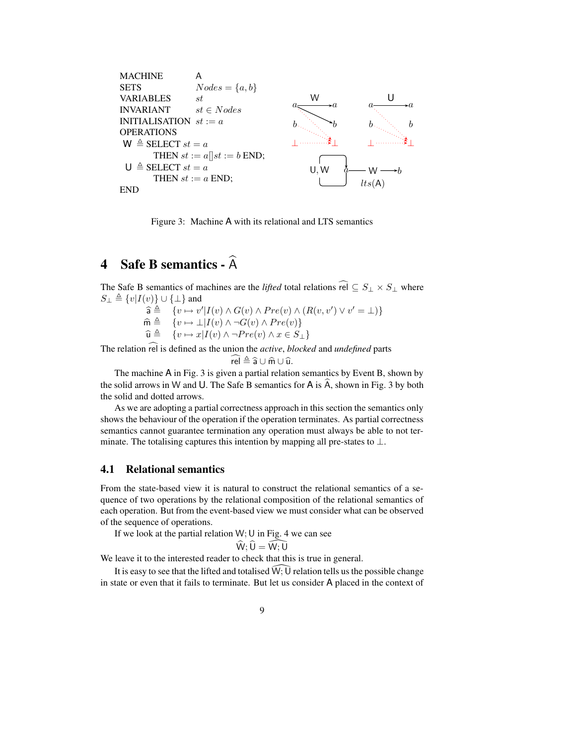

Figure 3: Machine A with its relational and LTS semantics

## **4 Safe B semantics -** Ab

The Safe B semantics of machines are the *lifted* total relations  $\widehat{rel} \subseteq S_+ \times S_+$  where  $S_{\perp} \triangleq \{v|I(v)\} \cup \{\perp\}$  and

> $\widehat{\mathsf{a}} \triangleq \{ v \mapsto v' | I(v) \wedge G(v) \wedge Pre(v) \wedge (R(v, v') \vee v' = \bot) \}$  $\widehat{\mathsf{m}} \triangleq \{ v \mapsto \bot | I(v) \wedge \neg G(v) \wedge Pre(v) \}$  $\widehat{\mathbf{u}} \triangleq \{v \mapsto x | I(v) \wedge \neg Pre(v) \wedge x \in S_{\perp}\}\$

The relation rel is defined as the union the *active*, *blocked* and *undefined* parts  $\widehat{rel} \triangleq \widehat{a} \cup \widehat{m} \cup \widehat{u}$ .

$$
\mathsf{el} \triangleq \widehat{\mathsf{a}} \cup \widehat{\mathsf{m}} \cup \widehat{\mathsf{u}}.
$$

 $rel \triangleq \hat{a} \cup \hat{m} \cup \hat{u}.$ <br>The machine A in Fig. 3 is given a partial relation semantics by Event B, shown by the solid arrows in W and U. The Safe B semantics for A is  $\hat{A}$ , shown in Fig. 3 by both the solid and dotted arrows.

As we are adopting a partial correctness approach in this section the semantics only shows the behaviour of the operation if the operation terminates. As partial correctness semantics cannot guarantee termination any operation must always be able to not terminate. The totalising captures this intention by mapping all pre-states to  $\perp$ .

#### **4.1 Relational semantics**

From the state-based view it is natural to construct the relational semantics of a sequence of two operations by the relational composition of the relational semantics of each operation. But from the event-based view we must consider what can be observed of the sequence of operations.

If we look at the partial relation  $W$ ; U in Fig. 4 we can see

$$
\widehat{W}; \widehat{U} = \widehat{W; U}
$$

We leave it to the interested reader to check that this is true in general.

It is easy to see that the lifted and totalised  $\hat{W}$ :  $\hat{U}$  relation tells us the possible change in state or even that it fails to terminate. But let us consider A placed in the context of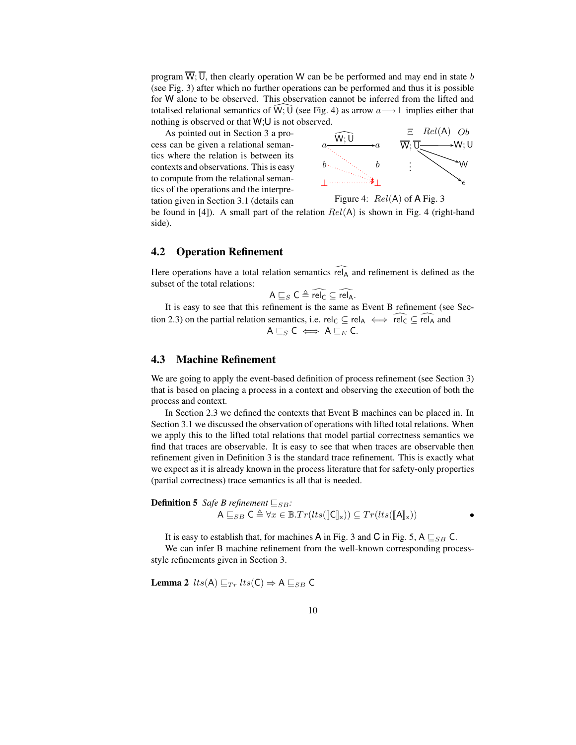program  $\overline{W}$ ;  $\overline{U}$ , then clearly operation W can be be performed and may end in state b (see Fig. 3) after which no further operations can be performed and thus it is possible for W alone to be observed. This observation cannot be inferred from the lifted and totalised relational semantics of  $\hat{W}$ ;  $\hat{U}$  (see Fig. 4) as arrow  $a \rightarrow \perp$  implies either that nothing is observed or that W;U is not observed.

As pointed out in Section 3 a process can be given a relational semantics where the relation is between its contexts and observations. This is easy to compute from the relational semantics of the operations and the interpretation given in Section 3.1 (details can



Figure 4: 
$$
Rel(A)
$$
 of A Fig. 3

be found in [4]). A small part of the relation  $Rel(A)$  is shown in Fig. 4 (right-hand side).

#### **4.2 Operation Refinement**

Here operations have a total relation semantics  $\widehat{rel_A}$  and refinement is defined as the subset of the total relations:

$$
A \sqsubseteq_S C \triangleq rel_C \subseteq rel_A.
$$

It is easy to see that this refinement is the same as Event B refinement (see Section 2.3) on the partial relation semantics, i.e. rel<sub>C</sub>  $\subseteq$  rel<sub>A</sub>  $\iff$  rel<sub>C</sub>  $\subseteq$  rel<sub>A</sub> and  $A \sqsubseteq_S C \iff A \sqsubseteq_E C$ .

#### **4.3 Machine Refinement**

We are going to apply the event-based definition of process refinement (see Section 3) that is based on placing a process in a context and observing the execution of both the process and context.

In Section 2.3 we defined the contexts that Event B machines can be placed in. In Section 3.1 we discussed the observation of operations with lifted total relations. When we apply this to the lifted total relations that model partial correctness semantics we find that traces are observable. It is easy to see that when traces are observable then refinement given in Definition 3 is the standard trace refinement. This is exactly what we expect as it is already known in the process literature that for safety-only properties (partial correctness) trace semantics is all that is needed.

**Definition 5** *Safe B refinement*  $\sqsubseteq_{SB}$ *:* 

$$
A \sqsubseteq_{SB} C \triangleq \forall x \in \mathbb{B}.Tr(lts([\![C]\!]_x)) \subseteq Tr(lts([\![A]\!]_x)) \qquad \qquad \bullet
$$

It is easy to establish that, for machines A in Fig. 3 and C in Fig. 5, A  $\sqsubseteq_{SB}$  C.

We can infer B machine refinement from the well-known corresponding processstyle refinements given in Section 3.

**Lemma 2** 
$$
lts(A) \sqsubseteq_{Tr} lts(C) \Rightarrow A \sqsubseteq_{SB} C
$$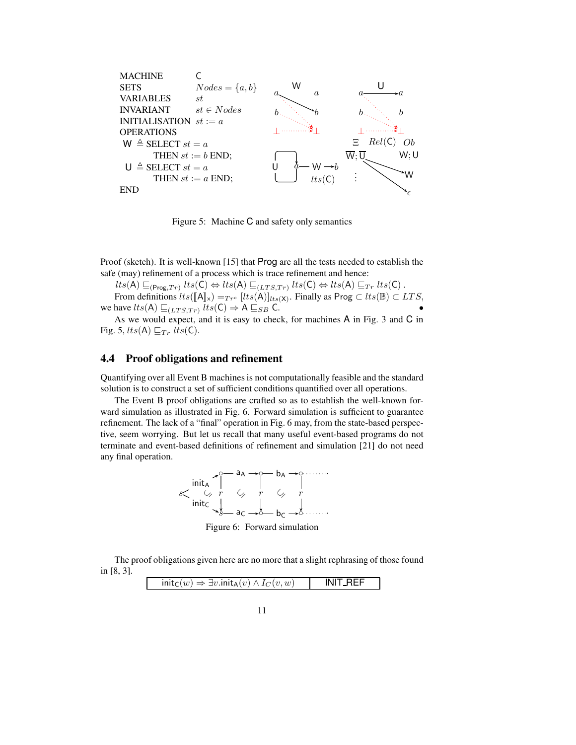

Figure 5: Machine C and safety only semantics

Proof (sketch). It is well-known [15] that Prog are all the tests needed to establish the safe (may) refinement of a process which is trace refinement and hence:

 $lts(A) \sqsubseteq_{(\mathsf{Prog},Tr)} lts(C) \Leftrightarrow lts(A) \sqsubseteq_{(LTS,Tr)} lts(C) \Leftrightarrow lts(A) \sqsubseteq_{Tr} lts(C)$ .

From definitions  $lts([A]_x) =_{Tr^c} [lts(A)]_{lts(X)}$ . Finally as Prog ⊂  $lts(\mathbb{B}) \subset LTS$ , we have  $lts(A) \sqsubseteq_{(LTS,Tr)} lts(C) \Rightarrow A \sqsubseteq_{SB} C.$ 

As we would expect, and it is easy to check, for machines A in Fig. 3 and C in Fig. 5,  $lts(A) \sqsubseteq_{Tr} lts(C)$ .

#### **4.4 Proof obligations and refinement**

Quantifying over all Event B machines is not computationally feasible and the standard solution is to construct a set of sufficient conditions quantified over all operations.

The Event B proof obligations are crafted so as to establish the well-known forward simulation as illustrated in Fig. 6. Forward simulation is sufficient to guarantee refinement. The lack of a "final" operation in Fig. 6 may, from the state-based perspective, seem worrying. But let us recall that many useful event-based programs do not terminate and event-based definitions of refinement and simulation [21] do not need any final operation.



Figure 6: Forward simulation

The proof obligations given here are no more that a slight rephrasing of those found in [8, 3].

| $init_C$ | $\Rightarrow \exists v \mathsf{.init}_{\mathsf{A}}(v) \wedge$ ' | $\sqrt{I_C(v,w)}$ |  |
|----------|-----------------------------------------------------------------|-------------------|--|
|          |                                                                 |                   |  |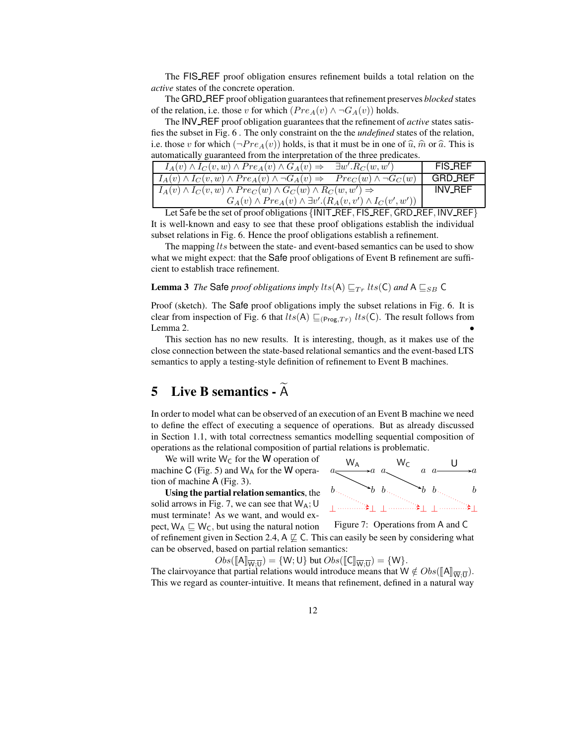The FIS REF proof obligation ensures refinement builds a total relation on the *active* states of the concrete operation.

The GRD\_REF proof obligation guarantees that refinement preserves *blocked* states of the relation, i.e. those v for which  $(Pre_A(v) \wedge \neg G_A(v))$  holds.

The INV REF proof obligation guarantees that the refinement of *active* states satisfies the subset in Fig. 6 . The only constraint on the the *undefined* states of the relation, i.e. those v for which  $(\neg Pre_A(v))$  holds, is that it must be in one of  $\hat{u}$ ,  $\hat{m}$  or  $\hat{a}$ . This is automatically guaranteed from the interpretation of the three predicates.

| $I_A(v) \wedge I_C(v, w) \wedge Pre_A(v) \wedge G_A(v) \Rightarrow$                                  | $\exists w'. R_C(w, w')$ | <b>FIS_REF</b> |
|------------------------------------------------------------------------------------------------------|--------------------------|----------------|
| $I_A(v) \wedge I_C(v, w) \wedge Pre_A(v) \wedge \neg G_A(v) \Rightarrow Pre_C(w) \wedge \neg G_C(w)$ |                          | GRD_REF        |
| $I_A(v) \wedge I_C(v, w) \wedge Pre_C(w) \wedge G_C(w) \wedge R_C(w, w') \Rightarrow$                | <b>INV_REF</b>           |                |
| $G_A(v) \wedge Pre_A(v) \wedge \exists v'.(R_A(v, v') \wedge I_C(v', w'))$                           |                          |                |

Let Safe be the set of proof obligations {INIT\_REF, FIS\_REF, GRD\_REF, INV\_REF} It is well-known and easy to see that these proof obligations establish the individual subset relations in Fig. 6. Hence the proof obligations establish a refinement.

The mapping  $lts$  between the state- and event-based semantics can be used to show what we might expect: that the Safe proof obligations of Event B refinement are sufficient to establish trace refinement.

**Lemma** 3 *The* Safe *proof obligations imply*  $lts(A) \sqsubseteq_{Tr} lts(C)$  *and*  $A \sqsubseteq_{SB} C$ 

Proof (sketch). The Safe proof obligations imply the subset relations in Fig. 6. It is clear from inspection of Fig. 6 that  $lts(A) \sqsubseteq_{(\text{Prog},Tr)} lts(\textsf{C})$ . The result follows from Lemma 2.  $\bullet$ 

This section has no new results. It is interesting, though, as it makes use of the close connection between the state-based relational semantics and the event-based LTS semantics to apply a testing-style definition of refinement to Event B machines.

## **5** Live B semantics -  $\widetilde{A}$

In order to model what can be observed of an execution of an Event B machine we need to define the effect of executing a sequence of operations. But as already discussed in Section 1.1, with total correctness semantics modelling sequential composition of operations as the relational composition of partial relations is problematic.

We will write  $W_C$  for the W operation of machine C (Fig. 5) and  $W_A$  for the W operation of machine A (Fig. 3).

**Using the partial relation semantics**, the solid arrows in Fig. 7, we can see that  $W_A$ ; U must terminate! As we want, and would expect,  $W_A \sqsubseteq W_C$ , but using the natural notion

 $a \xrightarrow{a} a$  $b_{\odot}$   $\rightarrow$ ⊥ ⊥ ⊥ ⊥ ⊥ ⊥  $a \sim Wc$  a  $b_{\odot}$   $\rightarrow$  $a \xrightarrow{U} a$  $b_{\odot \gtrsim}$  b

Figure 7: Operations from A and C

of refinement given in Section 2.4,  $A \not\sqsubseteq C$ . This can easily be seen by considering what can be observed, based on partial relation semantics:

 $Obs([\mathbf{A}]_{\overline{\mathbf{W}},\overline{\mathbf{U}}}) = \{\mathbf{W};\mathbf{U}\}\$  but  $Obs([\mathbf{C}]_{\overline{\mathbf{W}},\overline{\mathbf{U}}}) = \{\mathbf{W}\}.$ 

The clairvoyance that partial relations would introduce means that  $W \notin Obs([\mathbb{A}]\overline{w}, \overline{u})$ . This we regard as counter-intuitive. It means that refinement, defined in a natural way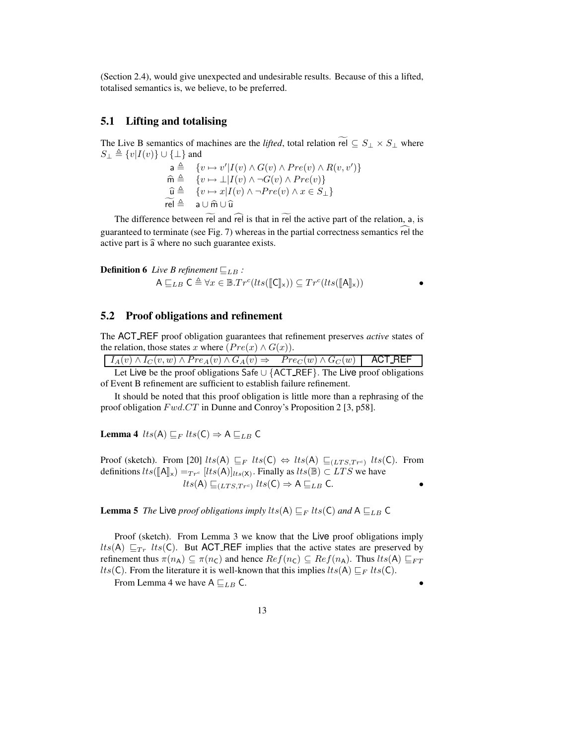(Section 2.4), would give unexpected and undesirable results. Because of this a lifted, totalised semantics is, we believe, to be preferred.

#### **5.1 Lifting and totalising**

The Live B semantics of machines are the *lifted*, total relation rel  $\subseteq S_1 \times S_1$  where  $S_{\perp} \triangleq \{v|I(v)\} \cup \{\perp\}$  and

$$
\begin{array}{ll}\n\mathsf{a} \triangleq & \{v \mapsto v'|I(v) \wedge G(v) \wedge Pre(v) \wedge R(v, v')\} \\
\widehat{\mathsf{m}} \triangleq & \{v \mapsto \bot | I(v) \wedge \neg G(v) \wedge Pre(v)\} \\
\widehat{\mathsf{u}} \triangleq & \{v \mapsto x | I(v) \wedge \neg Pre(v) \wedge x \in S_{\bot}\} \\
\widetilde{\mathsf{rel}} \triangleq & \mathsf{a} \cup \widehat{\mathsf{m}} \cup \widehat{\mathsf{u}} \\
\end{array}
$$

The difference between rel and rel is that in rel the active part of the relation, a, is guaranteed to terminate (see Fig. 7) whereas in the partial correctness semantics rel the active part is  $\hat{a}$  where no such guarantee exists.

**Definition 6** *Live B refinement* 
$$
\sqsubseteq_{LB}
$$
 :  
\n $A \sqsubseteq_{LB} C \triangleq \forall x \in \mathbb{B}.Tr^{c}(lts([\llbracket C \rrbracket_{x})) \subseteq Tr^{c}(lts([\llbracket A \rrbracket_{x}))$ 

#### **5.2 Proof obligations and refinement**

The ACT REF proof obligation guarantees that refinement preserves *active* states of the relation, those states x where  $(Pre(x) \wedge G(x))$ .

|  |  | $I_A(v) \wedge I_C(v, w) \wedge Pre_A(v) \wedge G_A(v) \Rightarrow Pre_C(w) \wedge G_C(w)$ <b>ACT_REF</b> |  |  |  |  |  |
|--|--|-----------------------------------------------------------------------------------------------------------|--|--|--|--|--|
|  |  | Let Live be the proof obligations Safe $\cup$ {ACT_REF}. The Live proof obligations                       |  |  |  |  |  |
|  |  |                                                                                                           |  |  |  |  |  |

of Event B refinement are sufficient to establish failure refinement.

It should be noted that this proof obligation is little more than a rephrasing of the proof obligation  $Fwd.CT$  in Dunne and Conroy's Proposition 2 [3, p58].

**Lemma** 4  $lts(A) \sqsubseteq_F lts(C) \Rightarrow A \sqsubseteq_{LB} C$ 

Proof (sketch). From [20]  $lts(A) \sqsubseteq_F lts(C) \Leftrightarrow lts(A) \sqsubseteq_{(LTS,Tr^c)} lts(C)$ . From definitions  $lts([A]_x) =_{Tr^c} [lts(A)]_{lts(X)}$ . Finally as  $lts(\mathbb{B}) \subset LTS$  we have  $lts(A) \sqsubseteq_{(LTS,Tr^c)} lts(C) \Rightarrow A \sqsubseteq_{LB} C.$ 

**Lemma 5** *The* Live *proof obligations imply*  $lts(A) \sqsubseteq_F lts(C)$  *and*  $A \sqsubseteq_{LB} C$ 

Proof (sketch). From Lemma 3 we know that the Live proof obligations imply  $lts(A) \sqsubseteq_{Tr} lts(C)$ . But ACT REF implies that the active states are preserved by refinement thus  $\pi(n_A) \subseteq \pi(n_C)$  and hence  $Ref(n_C) \subseteq Ref(n_A)$ . Thus  $lts(A) \sqsubseteq_{FT}$ *lts*(C). From the literature it is well-known that this implies  $lts(A) \sqsubseteq_F lts(C)$ .

From Lemma 4 we have  $A \sqsubseteq_{LB} C$ .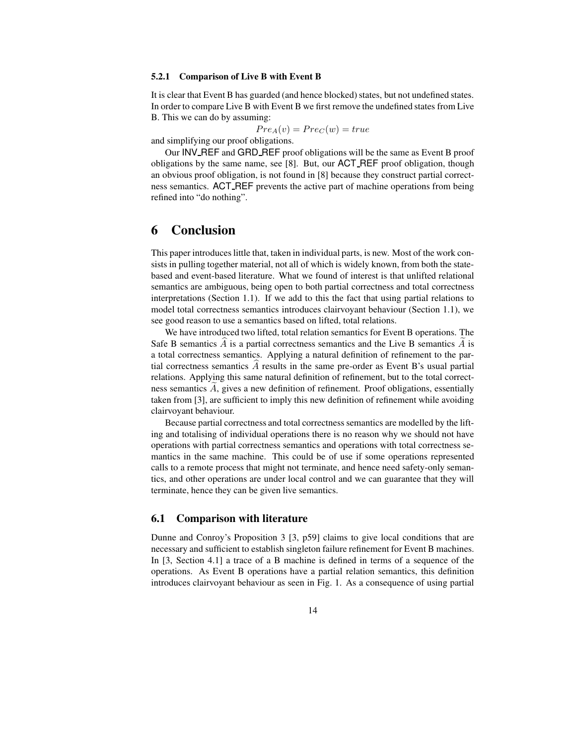#### **5.2.1 Comparison of Live B with Event B**

It is clear that Event B has guarded (and hence blocked) states, but not undefined states. In order to compare Live B with Event B we first remove the undefined states from Live B. This we can do by assuming:

$$
Pre_A(v) = Pre_C(w) = true
$$

and simplifying our proof obligations.

Our INV REF and GRD REF proof obligations will be the same as Event B proof obligations by the same name, see [8]. But, our ACT REF proof obligation, though an obvious proof obligation, is not found in [8] because they construct partial correctness semantics. ACT REF prevents the active part of machine operations from being refined into "do nothing".

### **6 Conclusion**

This paper introduces little that, taken in individual parts, is new. Most of the work consists in pulling together material, not all of which is widely known, from both the statebased and event-based literature. What we found of interest is that unlifted relational semantics are ambiguous, being open to both partial correctness and total correctness interpretations (Section 1.1). If we add to this the fact that using partial relations to model total correctness semantics introduces clairvoyant behaviour (Section 1.1), we see good reason to use a semantics based on lifted, total relations.

We have introduced two lifted, total relation semantics for Event B operations. The Safe B semantics  $\tilde{A}$  is a partial correctness semantics and the Live B semantics  $\tilde{A}$  is a total correctness semantics. Applying a natural definition of refinement to the partial correctness semantics  $\vec{A}$  results in the same pre-order as Event B's usual partial relations. Applying this same natural definition of refinement, but to the total correctness semantics  $A$ , gives a new definition of refinement. Proof obligations, essentially taken from [3], are sufficient to imply this new definition of refinement while avoiding clairvoyant behaviour.

Because partial correctness and total correctness semantics are modelled by the lifting and totalising of individual operations there is no reason why we should not have operations with partial correctness semantics and operations with total correctness semantics in the same machine. This could be of use if some operations represented calls to a remote process that might not terminate, and hence need safety-only semantics, and other operations are under local control and we can guarantee that they will terminate, hence they can be given live semantics.

#### **6.1 Comparison with literature**

Dunne and Conroy's Proposition 3 [3, p59] claims to give local conditions that are necessary and sufficient to establish singleton failure refinement for Event B machines. In [3, Section 4.1] a trace of a B machine is defined in terms of a sequence of the operations. As Event B operations have a partial relation semantics, this definition introduces clairvoyant behaviour as seen in Fig. 1. As a consequence of using partial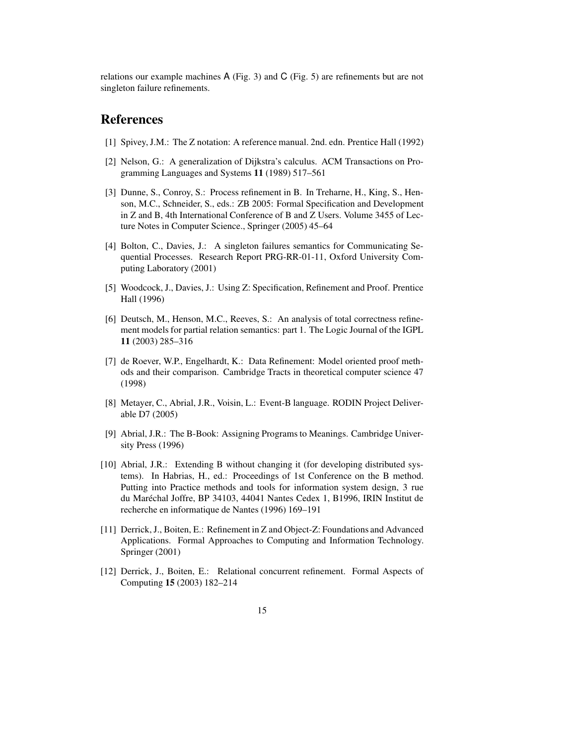relations our example machines A (Fig. 3) and C (Fig. 5) are refinements but are not singleton failure refinements.

## **References**

- [1] Spivey, J.M.: The Z notation: A reference manual. 2nd. edn. Prentice Hall (1992)
- [2] Nelson, G.: A generalization of Dijkstra's calculus. ACM Transactions on Programming Languages and Systems **11** (1989) 517–561
- [3] Dunne, S., Conroy, S.: Process refinement in B. In Treharne, H., King, S., Henson, M.C., Schneider, S., eds.: ZB 2005: Formal Specification and Development in Z and B, 4th International Conference of B and Z Users. Volume 3455 of Lecture Notes in Computer Science., Springer (2005) 45–64
- [4] Bolton, C., Davies, J.: A singleton failures semantics for Communicating Sequential Processes. Research Report PRG-RR-01-11, Oxford University Computing Laboratory (2001)
- [5] Woodcock, J., Davies, J.: Using Z: Specification, Refinement and Proof. Prentice Hall (1996)
- [6] Deutsch, M., Henson, M.C., Reeves, S.: An analysis of total correctness refinement models for partial relation semantics: part 1. The Logic Journal of the IGPL **11** (2003) 285–316
- [7] de Roever, W.P., Engelhardt, K.: Data Refinement: Model oriented proof methods and their comparison. Cambridge Tracts in theoretical computer science 47 (1998)
- [8] Metayer, C., Abrial, J.R., Voisin, L.: Event-B language. RODIN Project Deliverable D7 (2005)
- [9] Abrial, J.R.: The B-Book: Assigning Programs to Meanings. Cambridge University Press (1996)
- [10] Abrial, J.R.: Extending B without changing it (for developing distributed systems). In Habrias, H., ed.: Proceedings of 1st Conference on the B method. Putting into Practice methods and tools for information system design, 3 rue du Maréchal Joffre, BP 34103, 44041 Nantes Cedex 1, B1996, IRIN Institut de recherche en informatique de Nantes (1996) 169–191
- [11] Derrick, J., Boiten, E.: Refinement in Z and Object-Z: Foundations and Advanced Applications. Formal Approaches to Computing and Information Technology. Springer (2001)
- [12] Derrick, J., Boiten, E.: Relational concurrent refinement. Formal Aspects of Computing **15** (2003) 182–214